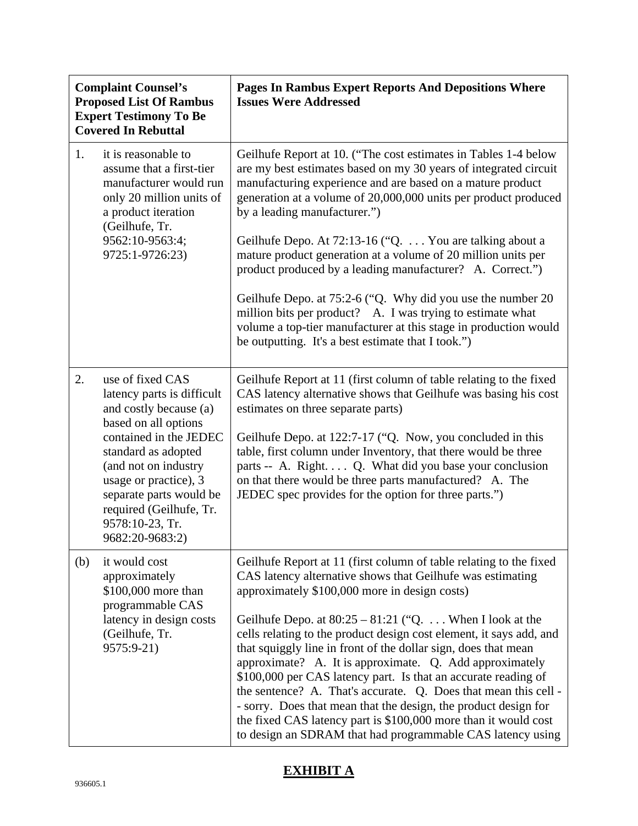| <b>Complaint Counsel's</b><br><b>Proposed List Of Rambus</b><br><b>Expert Testimony To Be</b><br><b>Covered In Rebuttal</b> |                                                                                                                                                                                                                                                                                                | <b>Pages In Rambus Expert Reports And Depositions Where</b><br><b>Issues Were Addressed</b>                                                                                                                                                                                                                                                                                                                                                                                                                                                                                                                                                                                                                                                                                                |
|-----------------------------------------------------------------------------------------------------------------------------|------------------------------------------------------------------------------------------------------------------------------------------------------------------------------------------------------------------------------------------------------------------------------------------------|--------------------------------------------------------------------------------------------------------------------------------------------------------------------------------------------------------------------------------------------------------------------------------------------------------------------------------------------------------------------------------------------------------------------------------------------------------------------------------------------------------------------------------------------------------------------------------------------------------------------------------------------------------------------------------------------------------------------------------------------------------------------------------------------|
| 1.                                                                                                                          | it is reasonable to<br>assume that a first-tier<br>manufacturer would run<br>only 20 million units of<br>a product iteration<br>(Geilhufe, Tr.<br>9562:10-9563:4;<br>9725:1-9726:23)                                                                                                           | Geilhufe Report at 10. ("The cost estimates in Tables 1-4 below<br>are my best estimates based on my 30 years of integrated circuit<br>manufacturing experience and are based on a mature product<br>generation at a volume of 20,000,000 units per product produced<br>by a leading manufacturer.")<br>Geilhufe Depo. At 72:13-16 ("Q.  You are talking about a<br>mature product generation at a volume of 20 million units per<br>product produced by a leading manufacturer? A. Correct.")<br>Geilhufe Depo. at 75:2-6 ("Q. Why did you use the number 20<br>million bits per product? A. I was trying to estimate what<br>volume a top-tier manufacturer at this stage in production would<br>be outputting. It's a best estimate that I took.")                                      |
| 2.                                                                                                                          | use of fixed CAS<br>latency parts is difficult<br>and costly because (a)<br>based on all options<br>contained in the JEDEC<br>standard as adopted<br>(and not on industry<br>usage or practice), 3<br>separate parts would be<br>required (Geilhufe, Tr.<br>9578:10-23, Tr.<br>9682:20-9683:2) | Geilhufe Report at 11 (first column of table relating to the fixed<br>CAS latency alternative shows that Geilhufe was basing his cost<br>estimates on three separate parts)<br>Geilhufe Depo. at 122:7-17 ("Q. Now, you concluded in this<br>table, first column under Inventory, that there would be three<br>parts -- A. Right Q. What did you base your conclusion<br>on that there would be three parts manufactured? A. The<br>JEDEC spec provides for the option for three parts.")                                                                                                                                                                                                                                                                                                  |
| (b)                                                                                                                         | it would cost<br>approximately<br>\$100,000 more than<br>programmable CAS<br>latency in design costs<br>(Geilhufe, Tr.<br>9575:9-21)                                                                                                                                                           | Geilhufe Report at 11 (first column of table relating to the fixed<br>CAS latency alternative shows that Geilhufe was estimating<br>approximately \$100,000 more in design costs)<br>Geilhufe Depo. at $80:25 - 81:21$ ("Q When I look at the<br>cells relating to the product design cost element, it says add, and<br>that squiggly line in front of the dollar sign, does that mean<br>approximate? A. It is approximate. Q. Add approximately<br>\$100,000 per CAS latency part. Is that an accurate reading of<br>the sentence? A. That's accurate. Q. Does that mean this cell -<br>- sorry. Does that mean that the design, the product design for<br>the fixed CAS latency part is \$100,000 more than it would cost<br>to design an SDRAM that had programmable CAS latency using |

## **EXHIBIT A**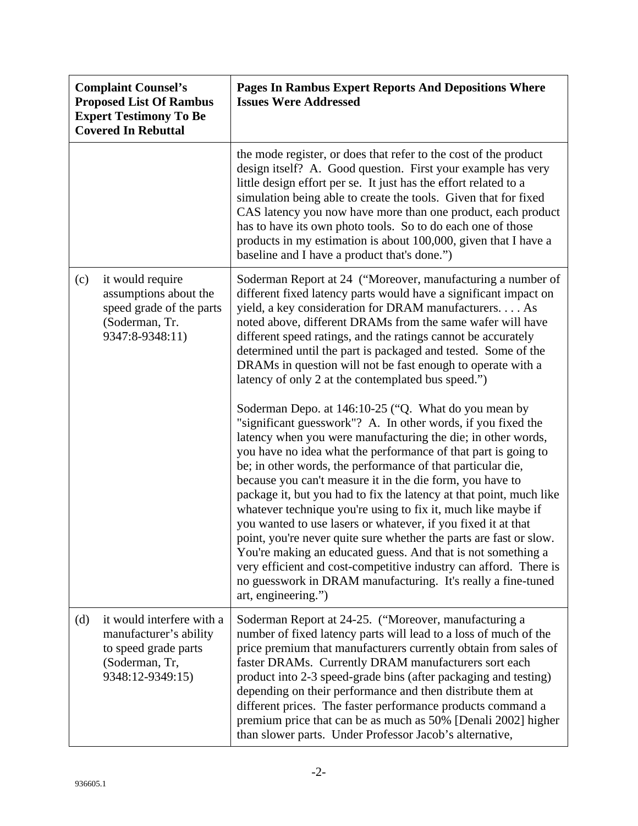| <b>Complaint Counsel's</b><br><b>Proposed List Of Rambus</b><br><b>Expert Testimony To Be</b><br><b>Covered In Rebuttal</b> |                                                                                                                   | <b>Pages In Rambus Expert Reports And Depositions Where</b><br><b>Issues Were Addressed</b>                                                                                                                                                                                                                                                                                                                                                                                                                                                                                                                                                                                                                                                                                                                                                                                                                                                                                                                                                                                                                                                                                                                                                                                                                                                                                                                   |
|-----------------------------------------------------------------------------------------------------------------------------|-------------------------------------------------------------------------------------------------------------------|---------------------------------------------------------------------------------------------------------------------------------------------------------------------------------------------------------------------------------------------------------------------------------------------------------------------------------------------------------------------------------------------------------------------------------------------------------------------------------------------------------------------------------------------------------------------------------------------------------------------------------------------------------------------------------------------------------------------------------------------------------------------------------------------------------------------------------------------------------------------------------------------------------------------------------------------------------------------------------------------------------------------------------------------------------------------------------------------------------------------------------------------------------------------------------------------------------------------------------------------------------------------------------------------------------------------------------------------------------------------------------------------------------------|
|                                                                                                                             |                                                                                                                   | the mode register, or does that refer to the cost of the product<br>design itself? A. Good question. First your example has very<br>little design effort per se. It just has the effort related to a<br>simulation being able to create the tools. Given that for fixed<br>CAS latency you now have more than one product, each product<br>has to have its own photo tools. So to do each one of those<br>products in my estimation is about 100,000, given that I have a<br>baseline and I have a product that's done.")                                                                                                                                                                                                                                                                                                                                                                                                                                                                                                                                                                                                                                                                                                                                                                                                                                                                                     |
| (c)                                                                                                                         | it would require<br>assumptions about the<br>speed grade of the parts<br>(Soderman, Tr.<br>9347:8-9348:11)        | Soderman Report at 24 ("Moreover, manufacturing a number of<br>different fixed latency parts would have a significant impact on<br>yield, a key consideration for DRAM manufacturers As<br>noted above, different DRAMs from the same wafer will have<br>different speed ratings, and the ratings cannot be accurately<br>determined until the part is packaged and tested. Some of the<br>DRAMs in question will not be fast enough to operate with a<br>latency of only 2 at the contemplated bus speed.")<br>Soderman Depo. at 146:10-25 ("Q. What do you mean by<br>"significant guesswork"? A. In other words, if you fixed the<br>latency when you were manufacturing the die; in other words,<br>you have no idea what the performance of that part is going to<br>be; in other words, the performance of that particular die,<br>because you can't measure it in the die form, you have to<br>package it, but you had to fix the latency at that point, much like<br>whatever technique you're using to fix it, much like maybe if<br>you wanted to use lasers or whatever, if you fixed it at that<br>point, you're never quite sure whether the parts are fast or slow.<br>You're making an educated guess. And that is not something a<br>very efficient and cost-competitive industry can afford. There is<br>no guesswork in DRAM manufacturing. It's really a fine-tuned<br>art, engineering.") |
| (d)                                                                                                                         | it would interfere with a<br>manufacturer's ability<br>to speed grade parts<br>(Soderman, Tr,<br>9348:12-9349:15) | Soderman Report at 24-25. ("Moreover, manufacturing a<br>number of fixed latency parts will lead to a loss of much of the<br>price premium that manufacturers currently obtain from sales of<br>faster DRAMs. Currently DRAM manufacturers sort each<br>product into 2-3 speed-grade bins (after packaging and testing)<br>depending on their performance and then distribute them at<br>different prices. The faster performance products command a<br>premium price that can be as much as 50% [Denali 2002] higher<br>than slower parts. Under Professor Jacob's alternative,                                                                                                                                                                                                                                                                                                                                                                                                                                                                                                                                                                                                                                                                                                                                                                                                                              |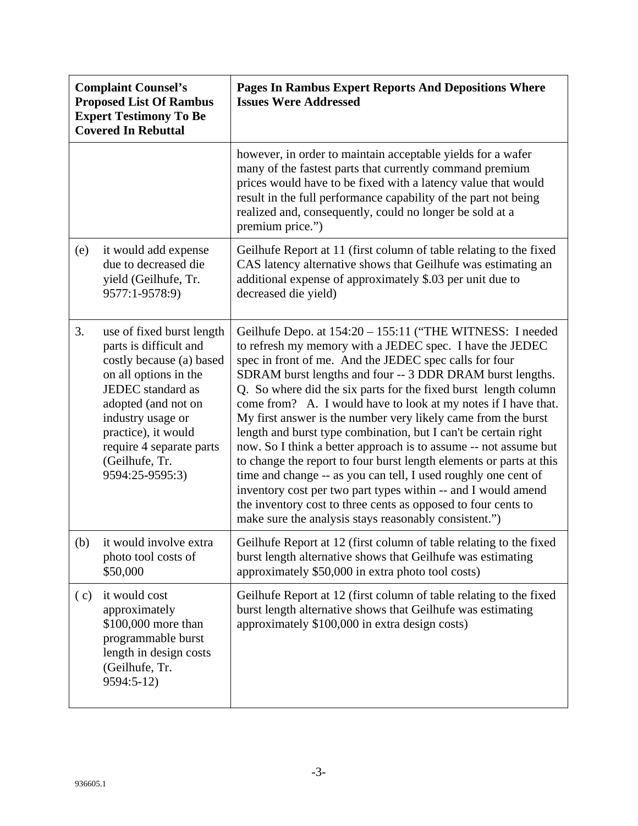| <b>Complaint Counsel's</b><br><b>Proposed List Of Rambus</b><br><b>Expert Testimony To Be</b><br><b>Covered In Rebuttal</b> |                                                                                                                                                                                                                                                                   | <b>Pages In Rambus Expert Reports And Depositions Where</b><br><b>Issues Were Addressed</b>                                                                                                                                                                                                                                                                                                                                                                                                                                                                                                                                                                                                                                                                                                                                                                                                                                   |
|-----------------------------------------------------------------------------------------------------------------------------|-------------------------------------------------------------------------------------------------------------------------------------------------------------------------------------------------------------------------------------------------------------------|-------------------------------------------------------------------------------------------------------------------------------------------------------------------------------------------------------------------------------------------------------------------------------------------------------------------------------------------------------------------------------------------------------------------------------------------------------------------------------------------------------------------------------------------------------------------------------------------------------------------------------------------------------------------------------------------------------------------------------------------------------------------------------------------------------------------------------------------------------------------------------------------------------------------------------|
|                                                                                                                             |                                                                                                                                                                                                                                                                   | however, in order to maintain acceptable yields for a wafer<br>many of the fastest parts that currently command premium<br>prices would have to be fixed with a latency value that would<br>result in the full performance capability of the part not being<br>realized and, consequently, could no longer be sold at a<br>premium price.")                                                                                                                                                                                                                                                                                                                                                                                                                                                                                                                                                                                   |
| (e)                                                                                                                         | it would add expense<br>due to decreased die<br>yield (Geilhufe, Tr.<br>9577:1-9578:9)                                                                                                                                                                            | Geilhufe Report at 11 (first column of table relating to the fixed<br>CAS latency alternative shows that Geilhufe was estimating an<br>additional expense of approximately \$.03 per unit due to<br>decreased die yield)                                                                                                                                                                                                                                                                                                                                                                                                                                                                                                                                                                                                                                                                                                      |
| 3.                                                                                                                          | use of fixed burst length<br>parts is difficult and<br>costly because (a) based<br>on all options in the<br>JEDEC standard as<br>adopted (and not on<br>industry usage or<br>practice), it would<br>require 4 separate parts<br>(Geilhufe, Tr.<br>9594:25-9595:3) | Geilhufe Depo. at 154:20 - 155:11 ("THE WITNESS: I needed<br>to refresh my memory with a JEDEC spec. I have the JEDEC<br>spec in front of me. And the JEDEC spec calls for four<br>SDRAM burst lengths and four -- 3 DDR DRAM burst lengths.<br>Q. So where did the six parts for the fixed burst length column<br>come from? A. I would have to look at my notes if I have that.<br>My first answer is the number very likely came from the burst<br>length and burst type combination, but I can't be certain right<br>now. So I think a better approach is to assume -- not assume but<br>to change the report to four burst length elements or parts at this<br>time and change -- as you can tell, I used roughly one cent of<br>inventory cost per two part types within -- and I would amend<br>the inventory cost to three cents as opposed to four cents to<br>make sure the analysis stays reasonably consistent.") |
|                                                                                                                             | (b) it would involve extra<br>photo tool costs of<br>\$50,000                                                                                                                                                                                                     | Geilhufe Report at 12 (first column of table relating to the fixed<br>burst length alternative shows that Geilhufe was estimating<br>approximately \$50,000 in extra photo tool costs)                                                                                                                                                                                                                                                                                                                                                                                                                                                                                                                                                                                                                                                                                                                                        |
| (c)                                                                                                                         | it would cost<br>approximately<br>\$100,000 more than<br>programmable burst<br>length in design costs<br>(Geilhufe, Tr.<br>9594:5-12)                                                                                                                             | Geilhufe Report at 12 (first column of table relating to the fixed<br>burst length alternative shows that Geilhufe was estimating<br>approximately \$100,000 in extra design costs)                                                                                                                                                                                                                                                                                                                                                                                                                                                                                                                                                                                                                                                                                                                                           |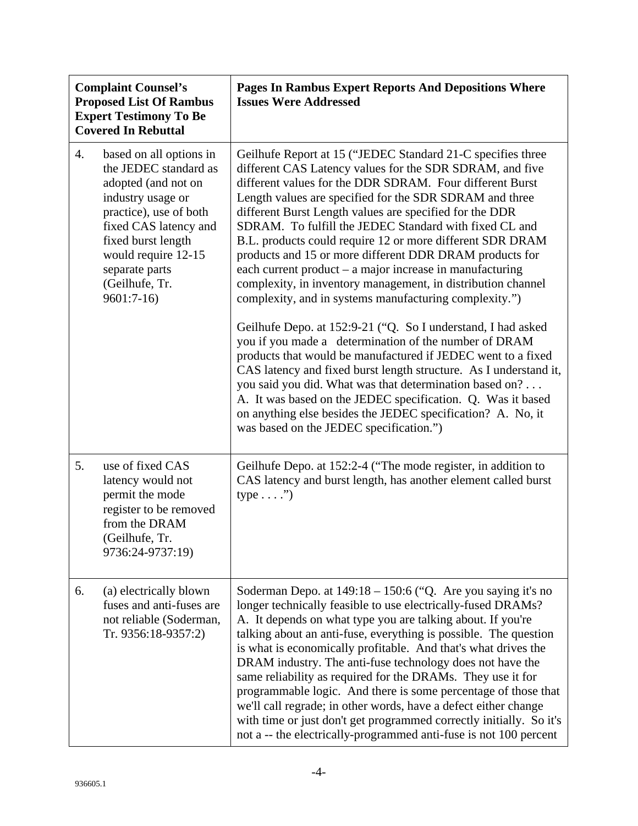| <b>Complaint Counsel's</b><br><b>Proposed List Of Rambus</b><br><b>Expert Testimony To Be</b><br><b>Covered In Rebuttal</b> |                                                                                                                                                                                                                                                 | Pages In Rambus Expert Reports And Depositions Where<br><b>Issues Were Addressed</b>                                                                                                                                                                                                                                                                                                                                                                                                                                                                                                                                                                                                                                                                                                                                                                                                                                                                                                                                                                                                                                                                                                |
|-----------------------------------------------------------------------------------------------------------------------------|-------------------------------------------------------------------------------------------------------------------------------------------------------------------------------------------------------------------------------------------------|-------------------------------------------------------------------------------------------------------------------------------------------------------------------------------------------------------------------------------------------------------------------------------------------------------------------------------------------------------------------------------------------------------------------------------------------------------------------------------------------------------------------------------------------------------------------------------------------------------------------------------------------------------------------------------------------------------------------------------------------------------------------------------------------------------------------------------------------------------------------------------------------------------------------------------------------------------------------------------------------------------------------------------------------------------------------------------------------------------------------------------------------------------------------------------------|
| 4.                                                                                                                          | based on all options in<br>the JEDEC standard as<br>adopted (and not on<br>industry usage or<br>practice), use of both<br>fixed CAS latency and<br>fixed burst length<br>would require 12-15<br>separate parts<br>(Geilhufe, Tr.<br>$9601:7-16$ | Geilhufe Report at 15 ("JEDEC Standard 21-C specifies three<br>different CAS Latency values for the SDR SDRAM, and five<br>different values for the DDR SDRAM. Four different Burst<br>Length values are specified for the SDR SDRAM and three<br>different Burst Length values are specified for the DDR<br>SDRAM. To fulfill the JEDEC Standard with fixed CL and<br>B.L. products could require 12 or more different SDR DRAM<br>products and 15 or more different DDR DRAM products for<br>each current product – a major increase in manufacturing<br>complexity, in inventory management, in distribution channel<br>complexity, and in systems manufacturing complexity.")<br>Geilhufe Depo. at 152:9-21 ("Q. So I understand, I had asked<br>you if you made a determination of the number of DRAM<br>products that would be manufactured if JEDEC went to a fixed<br>CAS latency and fixed burst length structure. As I understand it,<br>you said you did. What was that determination based on?<br>A. It was based on the JEDEC specification. Q. Was it based<br>on anything else besides the JEDEC specification? A. No, it<br>was based on the JEDEC specification.") |
| 5.                                                                                                                          | use of fixed CAS<br>latency would not<br>permit the mode<br>register to be removed<br>from the DRAM<br>(Geilhufe, Tr.<br>9736:24-9737:19)                                                                                                       | Geilhufe Depo. at 152:2-4 ("The mode register, in addition to<br>CAS latency and burst length, has another element called burst<br>$type \ldots$ ."                                                                                                                                                                                                                                                                                                                                                                                                                                                                                                                                                                                                                                                                                                                                                                                                                                                                                                                                                                                                                                 |
| 6.                                                                                                                          | (a) electrically blown<br>fuses and anti-fuses are<br>not reliable (Soderman,<br>Tr. 9356:18-9357:2)                                                                                                                                            | Soderman Depo. at 149:18 - 150:6 ("Q. Are you saying it's no<br>longer technically feasible to use electrically-fused DRAMs?<br>A. It depends on what type you are talking about. If you're<br>talking about an anti-fuse, everything is possible. The question<br>is what is economically profitable. And that's what drives the<br>DRAM industry. The anti-fuse technology does not have the<br>same reliability as required for the DRAMs. They use it for<br>programmable logic. And there is some percentage of those that<br>we'll call regrade; in other words, have a defect either change<br>with time or just don't get programmed correctly initially. So it's<br>not a -- the electrically-programmed anti-fuse is not 100 percent                                                                                                                                                                                                                                                                                                                                                                                                                                      |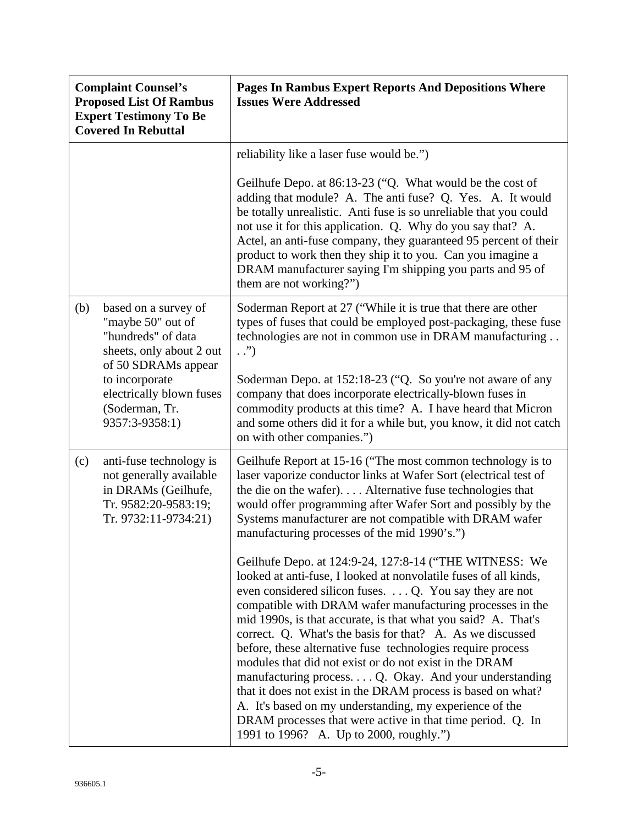| <b>Complaint Counsel's</b><br><b>Proposed List Of Rambus</b><br><b>Expert Testimony To Be</b><br><b>Covered In Rebuttal</b> |                                                                                                                           | Pages In Rambus Expert Reports And Depositions Where<br><b>Issues Were Addressed</b>                                                                                                                                                                                                                                                                                                                                                                                                                                                                                                                                                                                                                                                                                                                            |
|-----------------------------------------------------------------------------------------------------------------------------|---------------------------------------------------------------------------------------------------------------------------|-----------------------------------------------------------------------------------------------------------------------------------------------------------------------------------------------------------------------------------------------------------------------------------------------------------------------------------------------------------------------------------------------------------------------------------------------------------------------------------------------------------------------------------------------------------------------------------------------------------------------------------------------------------------------------------------------------------------------------------------------------------------------------------------------------------------|
|                                                                                                                             |                                                                                                                           | reliability like a laser fuse would be.")<br>Geilhufe Depo. at 86:13-23 ("Q. What would be the cost of<br>adding that module? A. The anti fuse? Q. Yes. A. It would<br>be totally unrealistic. Anti fuse is so unreliable that you could<br>not use it for this application. Q. Why do you say that? A.<br>Actel, an anti-fuse company, they guaranteed 95 percent of their                                                                                                                                                                                                                                                                                                                                                                                                                                     |
|                                                                                                                             |                                                                                                                           | product to work then they ship it to you. Can you imagine a<br>DRAM manufacturer saying I'm shipping you parts and 95 of<br>them are not working?")                                                                                                                                                                                                                                                                                                                                                                                                                                                                                                                                                                                                                                                             |
| (b)                                                                                                                         | based on a survey of<br>"maybe 50" out of<br>"hundreds" of data<br>sheets, only about 2 out<br>of 50 SDRAMs appear        | Soderman Report at 27 ("While it is true that there are other<br>types of fuses that could be employed post-packaging, these fuse<br>technologies are not in common use in DRAM manufacturing<br>$\cdot$ .")                                                                                                                                                                                                                                                                                                                                                                                                                                                                                                                                                                                                    |
|                                                                                                                             | to incorporate<br>electrically blown fuses<br>(Soderman, Tr.<br>9357:3-9358:1)                                            | Soderman Depo. at 152:18-23 ("Q. So you're not aware of any<br>company that does incorporate electrically-blown fuses in<br>commodity products at this time? A. I have heard that Micron<br>and some others did it for a while but, you know, it did not catch<br>on with other companies.")                                                                                                                                                                                                                                                                                                                                                                                                                                                                                                                    |
| (c)                                                                                                                         | anti-fuse technology is<br>not generally available<br>in DRAMs (Geilhufe,<br>Tr. 9582:20-9583:19;<br>Tr. 9732:11-9734:21) | Geilhufe Report at 15-16 ("The most common technology is to<br>laser vaporize conductor links at Wafer Sort (electrical test of<br>the die on the wafer) Alternative fuse technologies that<br>would offer programming after Wafer Sort and possibly by the<br>Systems manufacturer are not compatible with DRAM wafer<br>manufacturing processes of the mid 1990's.")                                                                                                                                                                                                                                                                                                                                                                                                                                          |
|                                                                                                                             |                                                                                                                           | Geilhufe Depo. at 124:9-24, 127:8-14 ("THE WITNESS: We<br>looked at anti-fuse, I looked at nonvolatile fuses of all kinds,<br>even considered silicon fuses. $\dots$ Q. You say they are not<br>compatible with DRAM wafer manufacturing processes in the<br>mid 1990s, is that accurate, is that what you said? A. That's<br>correct. Q. What's the basis for that? A. As we discussed<br>before, these alternative fuse technologies require process<br>modules that did not exist or do not exist in the DRAM<br>manufacturing process $Q.$ Okay. And your understanding<br>that it does not exist in the DRAM process is based on what?<br>A. It's based on my understanding, my experience of the<br>DRAM processes that were active in that time period. Q. In<br>1991 to 1996? A. Up to 2000, roughly.") |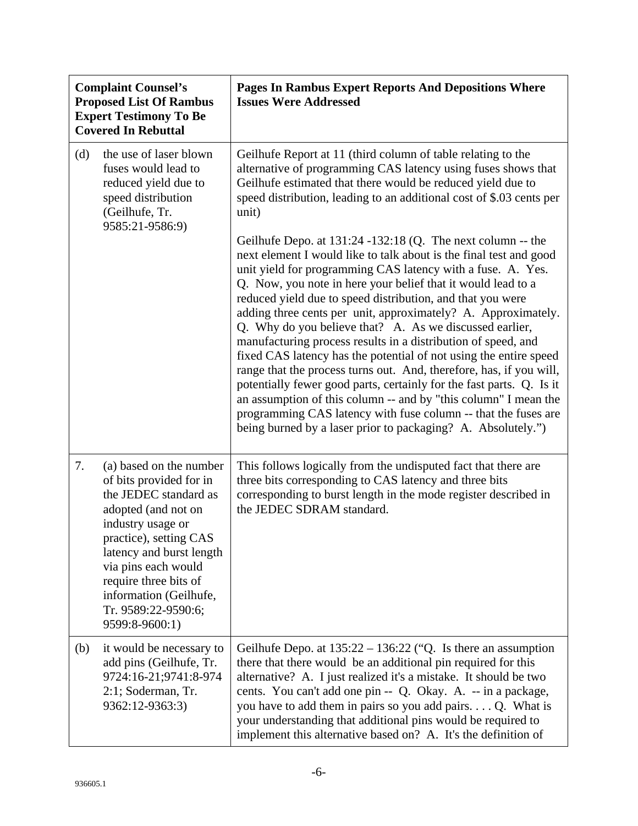| <b>Complaint Counsel's</b><br><b>Proposed List Of Rambus</b><br><b>Expert Testimony To Be</b><br><b>Covered In Rebuttal</b> |                                                                                                                                                                                                                                                                                                  | <b>Pages In Rambus Expert Reports And Depositions Where</b><br><b>Issues Were Addressed</b>                                                                                                                                                                                                                                                                                                                                                                                                                                                                                                                                                                                                                                                                                                                                                                                                                                                             |
|-----------------------------------------------------------------------------------------------------------------------------|--------------------------------------------------------------------------------------------------------------------------------------------------------------------------------------------------------------------------------------------------------------------------------------------------|---------------------------------------------------------------------------------------------------------------------------------------------------------------------------------------------------------------------------------------------------------------------------------------------------------------------------------------------------------------------------------------------------------------------------------------------------------------------------------------------------------------------------------------------------------------------------------------------------------------------------------------------------------------------------------------------------------------------------------------------------------------------------------------------------------------------------------------------------------------------------------------------------------------------------------------------------------|
| (d)                                                                                                                         | the use of laser blown<br>fuses would lead to<br>reduced yield due to<br>speed distribution<br>(Geilhufe, Tr.<br>9585:21-9586:9)                                                                                                                                                                 | Geilhufe Report at 11 (third column of table relating to the<br>alternative of programming CAS latency using fuses shows that<br>Geilhufe estimated that there would be reduced yield due to<br>speed distribution, leading to an additional cost of \$.03 cents per<br>unit)                                                                                                                                                                                                                                                                                                                                                                                                                                                                                                                                                                                                                                                                           |
|                                                                                                                             |                                                                                                                                                                                                                                                                                                  | Geilhufe Depo. at $131:24 - 132:18$ (Q. The next column -- the<br>next element I would like to talk about is the final test and good<br>unit yield for programming CAS latency with a fuse. A. Yes.<br>Q. Now, you note in here your belief that it would lead to a<br>reduced yield due to speed distribution, and that you were<br>adding three cents per unit, approximately? A. Approximately.<br>Q. Why do you believe that? A. As we discussed earlier,<br>manufacturing process results in a distribution of speed, and<br>fixed CAS latency has the potential of not using the entire speed<br>range that the process turns out. And, therefore, has, if you will,<br>potentially fewer good parts, certainly for the fast parts. Q. Is it<br>an assumption of this column -- and by "this column" I mean the<br>programming CAS latency with fuse column -- that the fuses are<br>being burned by a laser prior to packaging? A. Absolutely.") |
| 7.                                                                                                                          | (a) based on the number<br>of bits provided for in<br>the JEDEC standard as<br>adopted (and not on<br>industry usage or<br>practice), setting CAS<br>latency and burst length<br>via pins each would<br>require three bits of<br>information (Geilhufe,<br>Tr. 9589:22-9590:6;<br>9599:8-9600:1) | This follows logically from the undisputed fact that there are<br>three bits corresponding to CAS latency and three bits<br>corresponding to burst length in the mode register described in<br>the JEDEC SDRAM standard.                                                                                                                                                                                                                                                                                                                                                                                                                                                                                                                                                                                                                                                                                                                                |
| (b)                                                                                                                         | it would be necessary to<br>add pins (Geilhufe, Tr.<br>9724:16-21;9741:8-974<br>2:1; Soderman, Tr.<br>9362:12-9363:3)                                                                                                                                                                            | Geilhufe Depo. at $135:22 - 136:22$ ("Q. Is there an assumption<br>there that there would be an additional pin required for this<br>alternative? A. I just realized it's a mistake. It should be two<br>cents. You can't add one pin -- Q. Okay. A. -- in a package,<br>you have to add them in pairs so you add pairs Q. What is<br>your understanding that additional pins would be required to<br>implement this alternative based on? A. It's the definition of                                                                                                                                                                                                                                                                                                                                                                                                                                                                                     |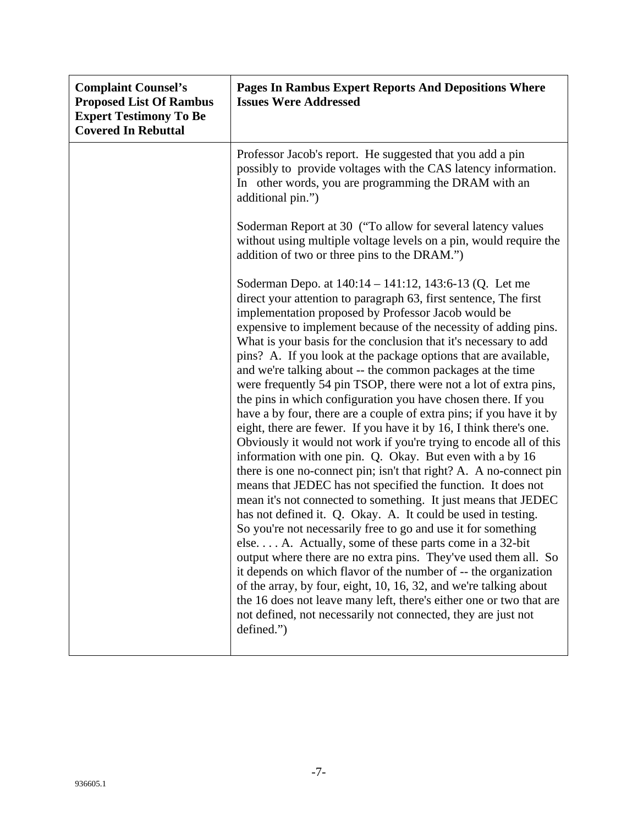| <b>Complaint Counsel's</b><br><b>Proposed List Of Rambus</b><br><b>Expert Testimony To Be</b><br><b>Covered In Rebuttal</b> | <b>Pages In Rambus Expert Reports And Depositions Where</b><br><b>Issues Were Addressed</b>                                                                                                                                                                                                                                                                                                                                                                                                                                                                                                                                                                                                                                                                                                                                                                                                                                                                                                                                                                                                                                                                                                                                                                                                                                                                                                                                                                                                                                                                                                                                                       |
|-----------------------------------------------------------------------------------------------------------------------------|---------------------------------------------------------------------------------------------------------------------------------------------------------------------------------------------------------------------------------------------------------------------------------------------------------------------------------------------------------------------------------------------------------------------------------------------------------------------------------------------------------------------------------------------------------------------------------------------------------------------------------------------------------------------------------------------------------------------------------------------------------------------------------------------------------------------------------------------------------------------------------------------------------------------------------------------------------------------------------------------------------------------------------------------------------------------------------------------------------------------------------------------------------------------------------------------------------------------------------------------------------------------------------------------------------------------------------------------------------------------------------------------------------------------------------------------------------------------------------------------------------------------------------------------------------------------------------------------------------------------------------------------------|
|                                                                                                                             | Professor Jacob's report. He suggested that you add a pin<br>possibly to provide voltages with the CAS latency information.<br>In other words, you are programming the DRAM with an<br>additional pin.")                                                                                                                                                                                                                                                                                                                                                                                                                                                                                                                                                                                                                                                                                                                                                                                                                                                                                                                                                                                                                                                                                                                                                                                                                                                                                                                                                                                                                                          |
|                                                                                                                             | Soderman Report at 30 ("To allow for several latency values"<br>without using multiple voltage levels on a pin, would require the<br>addition of two or three pins to the DRAM.")                                                                                                                                                                                                                                                                                                                                                                                                                                                                                                                                                                                                                                                                                                                                                                                                                                                                                                                                                                                                                                                                                                                                                                                                                                                                                                                                                                                                                                                                 |
|                                                                                                                             | Soderman Depo. at 140:14 – 141:12, 143:6-13 (Q. Let me<br>direct your attention to paragraph 63, first sentence, The first<br>implementation proposed by Professor Jacob would be<br>expensive to implement because of the necessity of adding pins.<br>What is your basis for the conclusion that it's necessary to add<br>pins? A. If you look at the package options that are available,<br>and we're talking about -- the common packages at the time<br>were frequently 54 pin TSOP, there were not a lot of extra pins,<br>the pins in which configuration you have chosen there. If you<br>have a by four, there are a couple of extra pins; if you have it by<br>eight, there are fewer. If you have it by 16, I think there's one.<br>Obviously it would not work if you're trying to encode all of this<br>information with one pin. Q. Okay. But even with a by 16<br>there is one no-connect pin; isn't that right? A. A no-connect pin<br>means that JEDEC has not specified the function. It does not<br>mean it's not connected to something. It just means that JEDEC<br>has not defined it. Q. Okay. A. It could be used in testing.<br>So you're not necessarily free to go and use it for something<br>else A. Actually, some of these parts come in a 32-bit<br>output where there are no extra pins. They've used them all. So<br>it depends on which flavor of the number of -- the organization<br>of the array, by four, eight, 10, 16, 32, and we're talking about<br>the 16 does not leave many left, there's either one or two that are<br>not defined, not necessarily not connected, they are just not<br>defined.") |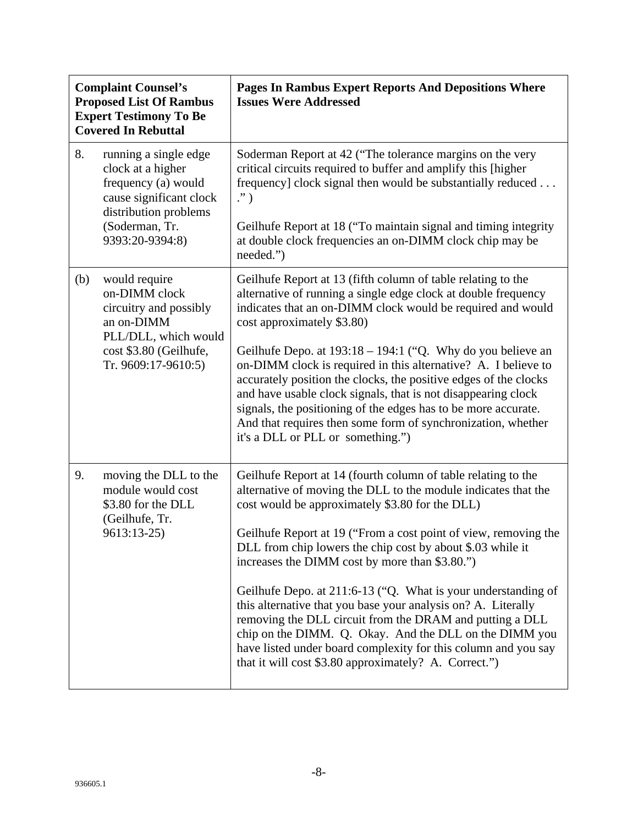| <b>Complaint Counsel's</b><br><b>Proposed List Of Rambus</b><br><b>Expert Testimony To Be</b><br><b>Covered In Rebuttal</b> |                                                                                                                                                            | <b>Pages In Rambus Expert Reports And Depositions Where</b><br><b>Issues Were Addressed</b>                                                                                                                                                                                                                                                                                                                                                                                                                                                                                                                                                                                                                                                              |
|-----------------------------------------------------------------------------------------------------------------------------|------------------------------------------------------------------------------------------------------------------------------------------------------------|----------------------------------------------------------------------------------------------------------------------------------------------------------------------------------------------------------------------------------------------------------------------------------------------------------------------------------------------------------------------------------------------------------------------------------------------------------------------------------------------------------------------------------------------------------------------------------------------------------------------------------------------------------------------------------------------------------------------------------------------------------|
| 8.                                                                                                                          | running a single edge<br>clock at a higher<br>frequency (a) would<br>cause significant clock<br>distribution problems<br>(Soderman, Tr.<br>9393:20-9394:8) | Soderman Report at 42 ("The tolerance margins on the very<br>critical circuits required to buffer and amplify this [higher<br>frequency] clock signal then would be substantially reduced<br>$\cdot$ ")<br>Geilhufe Report at 18 ("To maintain signal and timing integrity<br>at double clock frequencies an on-DIMM clock chip may be<br>needed.")                                                                                                                                                                                                                                                                                                                                                                                                      |
| (b)                                                                                                                         | would require<br>on-DIMM clock<br>circuitry and possibly<br>an on-DIMM<br>PLL/DLL, which would<br>cost \$3.80 (Geilhufe,<br>Tr. 9609:17-9610:5)            | Geilhufe Report at 13 (fifth column of table relating to the<br>alternative of running a single edge clock at double frequency<br>indicates that an on-DIMM clock would be required and would<br>cost approximately \$3.80)<br>Geilhufe Depo. at $193:18 - 194:1$ ("Q. Why do you believe an<br>on-DIMM clock is required in this alternative? A. I believe to<br>accurately position the clocks, the positive edges of the clocks<br>and have usable clock signals, that is not disappearing clock<br>signals, the positioning of the edges has to be more accurate.<br>And that requires then some form of synchronization, whether<br>it's a DLL or PLL or something.")                                                                               |
| 9.                                                                                                                          | moving the DLL to the<br>module would cost<br>\$3.80 for the DLL<br>(Geilhufe, Tr.<br>9613:13-25)                                                          | Geilhufe Report at 14 (fourth column of table relating to the<br>alternative of moving the DLL to the module indicates that the<br>cost would be approximately \$3.80 for the DLL)<br>Geilhufe Report at 19 ("From a cost point of view, removing the<br>DLL from chip lowers the chip cost by about \$.03 while it<br>increases the DIMM cost by more than \$3.80.")<br>Geilhufe Depo. at 211:6-13 ("Q. What is your understanding of<br>this alternative that you base your analysis on? A. Literally<br>removing the DLL circuit from the DRAM and putting a DLL<br>chip on the DIMM. Q. Okay. And the DLL on the DIMM you<br>have listed under board complexity for this column and you say<br>that it will cost \$3.80 approximately? A. Correct.") |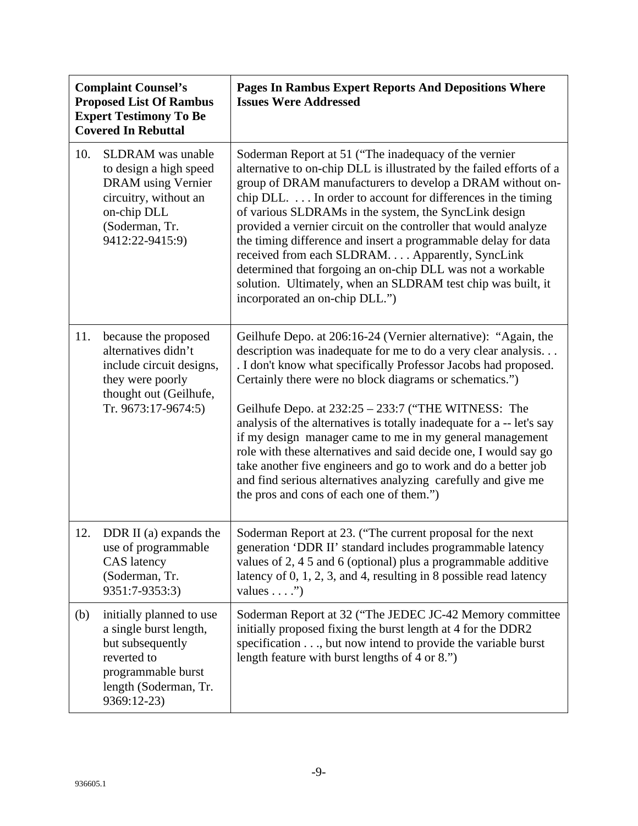| <b>Complaint Counsel's</b><br><b>Proposed List Of Rambus</b><br><b>Expert Testimony To Be</b><br><b>Covered In Rebuttal</b> |                                                                                                                                                              | Pages In Rambus Expert Reports And Depositions Where<br><b>Issues Were Addressed</b>                                                                                                                                                                                                                                                                                                                                                                                                                                                                                                                                                                                                                         |
|-----------------------------------------------------------------------------------------------------------------------------|--------------------------------------------------------------------------------------------------------------------------------------------------------------|--------------------------------------------------------------------------------------------------------------------------------------------------------------------------------------------------------------------------------------------------------------------------------------------------------------------------------------------------------------------------------------------------------------------------------------------------------------------------------------------------------------------------------------------------------------------------------------------------------------------------------------------------------------------------------------------------------------|
| 10.                                                                                                                         | <b>SLDRAM</b> was unable<br>to design a high speed<br><b>DRAM</b> using Vernier<br>circuitry, without an<br>on-chip DLL<br>(Soderman, Tr.<br>9412:22-9415:9) | Soderman Report at 51 ("The inadequacy of the vernier<br>alternative to on-chip DLL is illustrated by the failed efforts of a<br>group of DRAM manufacturers to develop a DRAM without on-<br>chip DLL. In order to account for differences in the timing<br>of various SLDRAMs in the system, the SyncLink design<br>provided a vernier circuit on the controller that would analyze<br>the timing difference and insert a programmable delay for data<br>received from each SLDRAM. Apparently, SyncLink<br>determined that forgoing an on-chip DLL was not a workable<br>solution. Ultimately, when an SLDRAM test chip was built, it<br>incorporated an on-chip DLL.")                                   |
| 11.                                                                                                                         | because the proposed<br>alternatives didn't<br>include circuit designs,<br>they were poorly<br>thought out (Geilhufe,<br>Tr. 9673:17-9674:5)                 | Geilhufe Depo. at 206:16-24 (Vernier alternative): "Again, the<br>description was inadequate for me to do a very clear analysis<br>. I don't know what specifically Professor Jacobs had proposed.<br>Certainly there were no block diagrams or schematics.")<br>Geilhufe Depo. at 232:25 - 233:7 ("THE WITNESS: The<br>analysis of the alternatives is totally inadequate for a -- let's say<br>if my design manager came to me in my general management<br>role with these alternatives and said decide one, I would say go<br>take another five engineers and go to work and do a better job<br>and find serious alternatives analyzing carefully and give me<br>the pros and cons of each one of them.") |
| 12.                                                                                                                         | DDR II (a) expands the<br>use of programmable<br><b>CAS</b> latency<br>(Soderman, Tr.<br>9351:7-9353:3)                                                      | Soderman Report at 23. ("The current proposal for the next"<br>generation 'DDR II' standard includes programmable latency<br>values of 2, 4 5 and 6 (optional) plus a programmable additive<br>latency of 0, 1, 2, 3, and 4, resulting in 8 possible read latency<br>values $\dots$ .")                                                                                                                                                                                                                                                                                                                                                                                                                      |
| (b)                                                                                                                         | initially planned to use<br>a single burst length,<br>but subsequently<br>reverted to<br>programmable burst<br>length (Soderman, Tr.<br>9369:12-23)          | Soderman Report at 32 ("The JEDEC JC-42 Memory committee<br>initially proposed fixing the burst length at 4 for the DDR2<br>specification, but now intend to provide the variable burst<br>length feature with burst lengths of 4 or 8.")                                                                                                                                                                                                                                                                                                                                                                                                                                                                    |